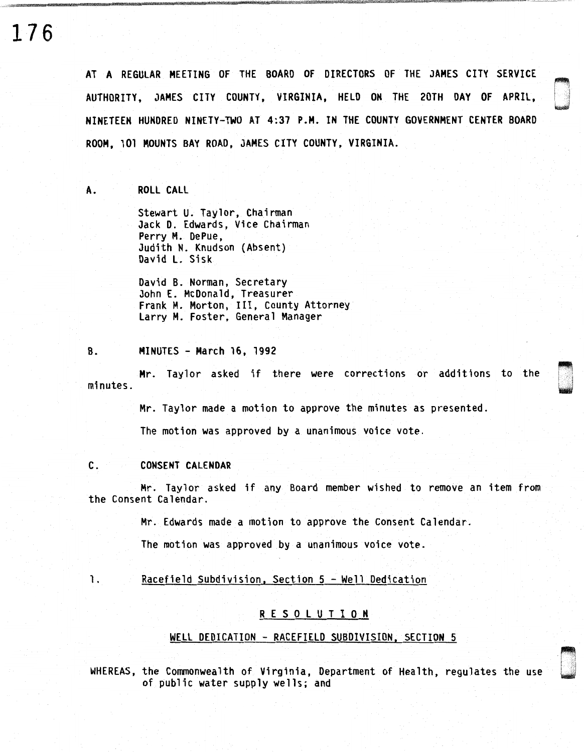## **176**

AT A REGULAR MEETING OF THE BOARD OF DIRECTORS OF THE JAMES CITY SERVICE AUTHORITY, JAMES CITY COUNTY, VIRGINIA, HELD ON THE 20TH DAY OF APRIL, NINETEEN HUNDRED NINETY-TWO AT 4:37 P.M. IN THE COUNTY GOVERNMENT CENTER BOARD ROOM, 101 MOUNTS BAY ROAD, JAMES CITY COUNTY, VIRGINIA.

A. ROLL CALL

Stewart U. Taylor, Chairman Jack D. Edwards, Vice Chairman Perry M. DePue, Judith N. Knudson (Absent) David L. Sisk

David B. Norman, Secretary John E. McDonald, Treasurer Frank M. Morton, III, County Attorney Larry M. Foster, General Manager

### B. MINUTES - March 16, 1992

Mr. Taylor asked if there were corrections or additions to the minutes.

Mr. Taylor made a motion to approve the minutes as presented.

The motion was approved by a unanimous voice vote.

## C. CONSENT CALENDAR

Mr. Taylor asked if any Board member wished to remove an item from the Consent Calendar.

Mr. Edwards made a motion to approve the Consent Calendar.

The motion was approved by a unanimous voice vote.

## 1. Racefield Subdivision, Section 5 - Well Dedication

## R E S 0 L U T I 0 N

## WELL DEDICATION - RACEFIELD SUBDIVISION, SECTION 5

WHEREAS, the Commonwealth of Virginia, Department of Health, regulates the use of public water supply wells; and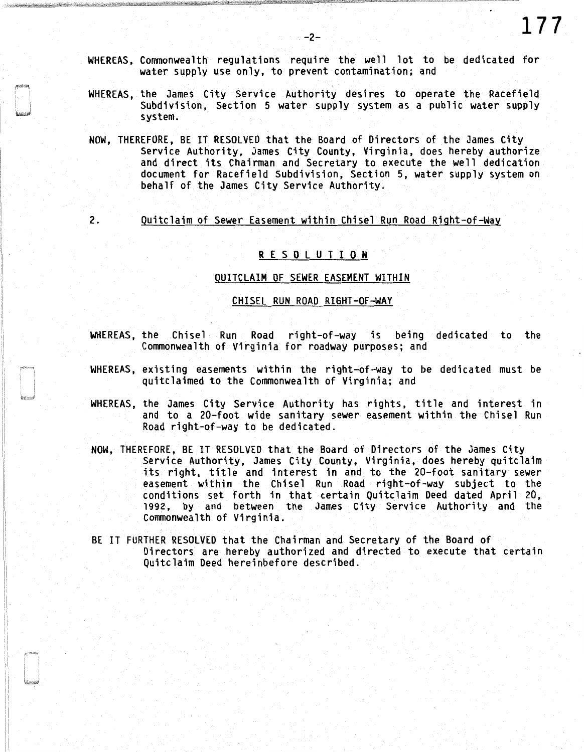- WHEREAS, Commonwealth regulations require the well lot to be dedicated for water supply use only, to prevent contamination; and
- WHEREAS, the James City Service Authority desires to operate the Racefield Subdivision, Section 5 water supply system as a public water supply system.
- NOW, THEREFORE, BE IT RESOLVED that the Board of Directors of the James City Service Authority, James City County, Virginia, does hereby authorize and direct its Chairman and Secretary to execute the well dedication document for Racefield Subdivision, Section 5, water supply system on behalf of the James City Service Authority.
- 

2. Quitclaim of Sewer Easement within Chisel Run Road Right-of-Way

## R E S 0 L U T I 0 N

### QUITCLAIM OF SEWER EASEMENT WITHIN

#### CHISEL RUN ROAD RIGHT-OF-WAY

- WHEREAS, the Chisel Run Road right-of-way is being dedicated to the Commonwealth of Virginia for roadway purposes; and
- WHEREAS, existing easements within the right-of-way to be dedicated must be quitclaimed to the Commonwealth of Virginia; and
- WHEREAS, the James City Service Authority has rights, title and interest in and to a 20-foot wide sanitary sewer easement within the Chisel Run Road right-of-way to be dedicated.
- NOW, THEREFORE, BE IT RESOLVED that the Board of Directors of the James City Service Authority, James City County, Virginia, does hereby quitclaim its right, title and interest in and to the 20-foot sanitary sewer easement within the Chisel Run Road right-of-way subject to the conditions set forth in that certain Quitclaim Deed dated April 20, 1992, by and between the James City Service Authority and the Commonwealth of Virginia.
- BE IT FURTHER RESOLVED that the Chairman and Secretary of the Board of Directors are hereby authorized and directed to execute that certain Quitclaim Deed hereinbefore described.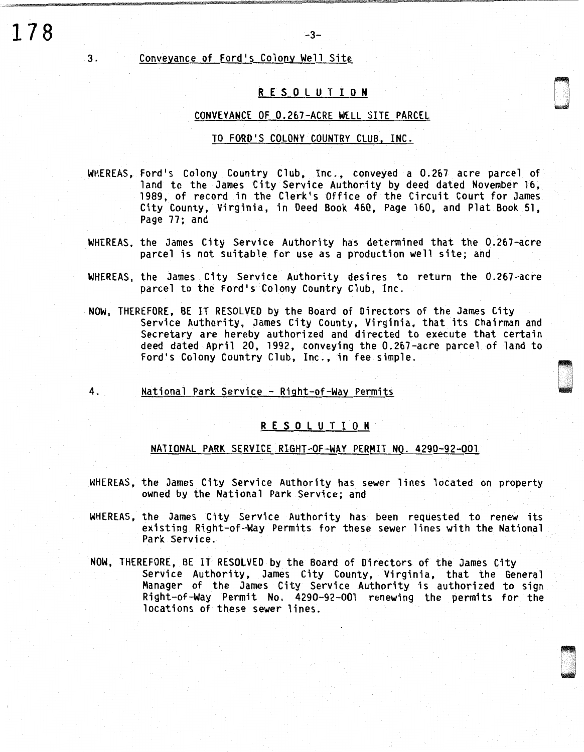## Conveyance of Ford's Colony Well Site

**178** 

3.

## R E S 0 L U T I **0 N**

D

0 '

-3-

## CONVEYANCE OF 0.267-ACRE WELL SITE PARCEL

### TO FORD'S COLONY COUNTRY CLUB, INC.

- WHEREAS, Ford's Colony Country Club, Inc., conveyed a 0.267 acre parcel of land to the James City Service Authority by deed dated November 16, 1989, of record in the Clerk's Office of the Circuit Court for James City County, Virginia, in Deed Book 460, Page 160, and Plat Book 51, Page 77; and
- WHEREAS, the James City Service Authority has determined that the 0.267-acre parcel is not suitable for use as a production well site; and
- WHEREAS, the James City Service Authority desires to return the 0.267-acre parcel to the Ford's Colony Country Club, Inc.
- NOW, THEREFORE, BE IT RESOLVED by the Board of Directors of the James City Service Authority, James City County, Virginia, that its Chairman and Secretary are hereby authorized and directed to execute that certain deed dated April 20, 1992, conveying the 0.267-acre parcel of land to Ford's Colony Country Club, Inc., in fee simple.
- 4. National Park Service Right-of-Way Permits

## R E S 0 L U T I 0 N

### NATIONAL PARK SERVICE RIGHT-OF-WAY PERMIT NO. 4290-92-001

- WHEREAS, the James City Service Authority has sewer lines located on property owned by the National Park Service; and
- WHEREAS, the James City Service Authority has been requested to renew its existing Right-of-Way Permits for these sewer lines with the National Park Service.
- NOW, THEREFORE, BE IT RESOLVED by the Board of Directors of the James City Service Authority, James City County, Virginia, that the General Manager of the James City Service Authority is authorized to sign Right-of-Way Permit No. 4290-92-001 renewing the permits for the locations of these sewer lines.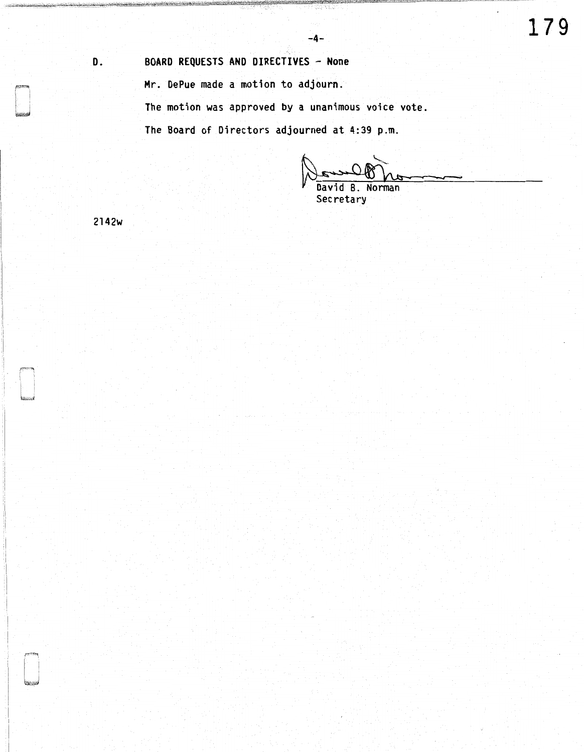# D. BOARD REQUESTS AND DIRECTIVES - None Mr. DePue made a motion to adjourn.

The motion was approved by a unanimous voice vote.

The Board of Directors adjourned at 4:39 p.m.

Norman Davi R Secretary

2142w

 $\sqrt{100}$  ( $\sqrt{100}$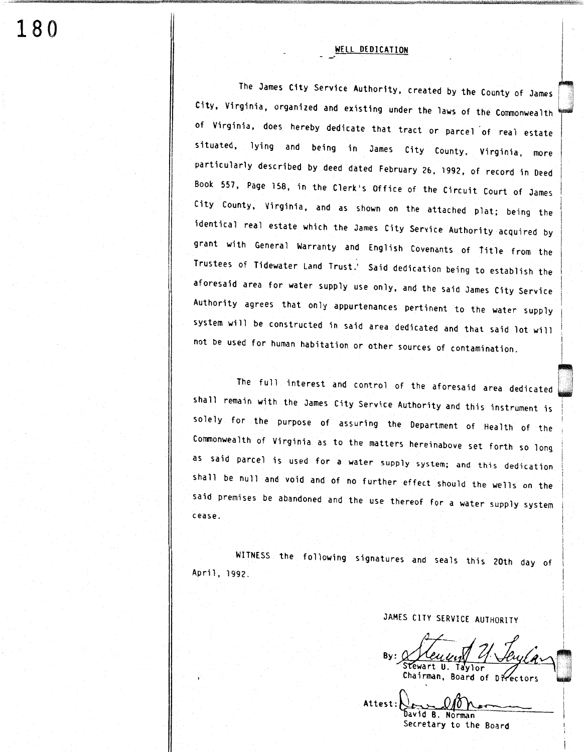## WELL DEDICATION

The James City Service Authority, created by the County of James<br>City, Virginia, organized and existing under the laws of the Commonwealth of Virginia, does hereby dedicate that tract or parcel of real estate situated, lying and being in James City County, Virginia, more particularly described by deed dated February 26, 1992, of record in Deed Book 557, Page 158, in the Clerk's Office of the Circuit Court of James City County, Virginia, and as shown on the attached plat; being the identical real estate which the James City Service Authority acquired by grant with General Warranty and English Covenants of iitle from the Trustees of Tidewater Land Trust.' Said dedication being to establish the aforesaid area for water supply use only, and the said James City Service Authority agrees that only appurtenances pertinent to the water supply system will be constructed in said area dedicated and that said lot will not be used for human habitation or other sources of contamination.

The full interest and control of the aforesaid area dedicated shall remain with the James City Service Authority and this instrument is solely for the purpose of assuring the Department of Health of the Commonwealth of Virginia as to the matters hereinabove set forth so long as said parcel is used for a water supply system; and this dedication shall be null and void and of no further effect should the wells on the said premises be abandoned and the use thereof for a water supply system cease.

WITNESS the following signatures and seals this 20th day of April, 1992.

JAMES CITY SERVICE AUTHORITY

By:  $\frac{VUUU_{11}}{V}$ Chairman, Board of Directors

Attest: David B. Norman Secretary to the Board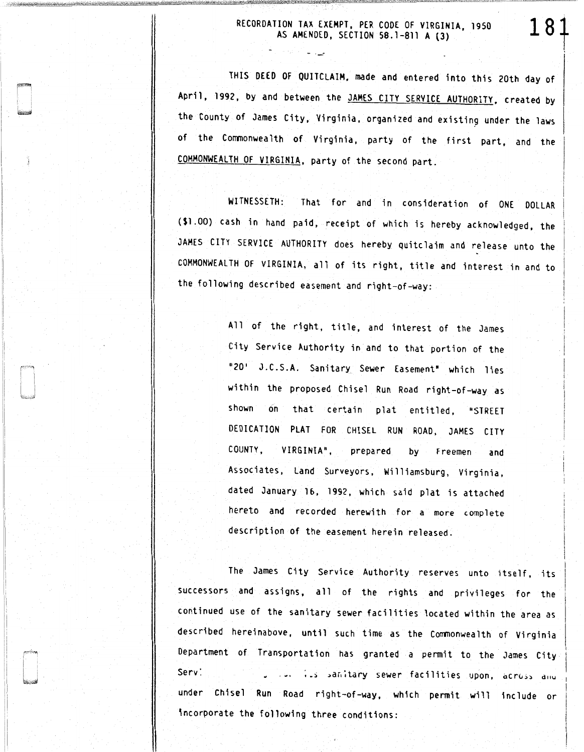## RECORDATION TAX EXEMPT, PER CODE OF VIRGINIA, 1950 AS AMENDED, SECTION 58.1-811 A (3)

181

.\_,.

THIS DEED OF QUITCLAIM, made and entered into this 20th day of April, 1992, by and between the JAMES CITY SERVICE AUTHORITY, created by the County of James City, Virginia, organized and existing under the laws of the Commonwealth of Virginia, party of the first part, and the COMMONWEALTH OF VIRGINIA, party of the second part.

WITNESSETH: That for and in consideration of ONE DOLLAR (\$1.00) cash in hand paid, receipt of which is hereby acknowledged, the JAMES CITY SERVICE AUTHORITY does hereby quitclaim and release unto the COMMONWEALTH OF VIRGINIA, all of its right, title and interest in and to the following described easement and right-of-way:

> All of the right, title, and interest of the James City Service Authority in and to that portion of the "20' J.C.S.A. Sanitary Sewer Easement' which lies within the proposed Chisel Run Road right-of-way as shown on that certain plat entitled, "STREET DEDICATION PLAT FOR CHISEL RUN ROAD, JAMES CITY COUNTY, VIRGINIA", prepared by Freemen and Associates, Land Surveyors, Williamsburg, Virginia, dated January lb, 1992, which said plat is attached hereto and recorded herewith for a more complete description of the easement herein released.

The James City Service Authority reserves unto itself, its successors and assigns, all of the rights and privileges for the continued use of the sanitary sewer facilities located within the area as described hereinabove, until such time as the Commonwealth of Virginia Department of Transportation has granted a permit to the James City Serv'. :.s :.ar.aary sewer facilities upon, <icr< .. ~~ d11u under Chisel Run Road right-of-way, which permit will include or incorporate the following three conditions: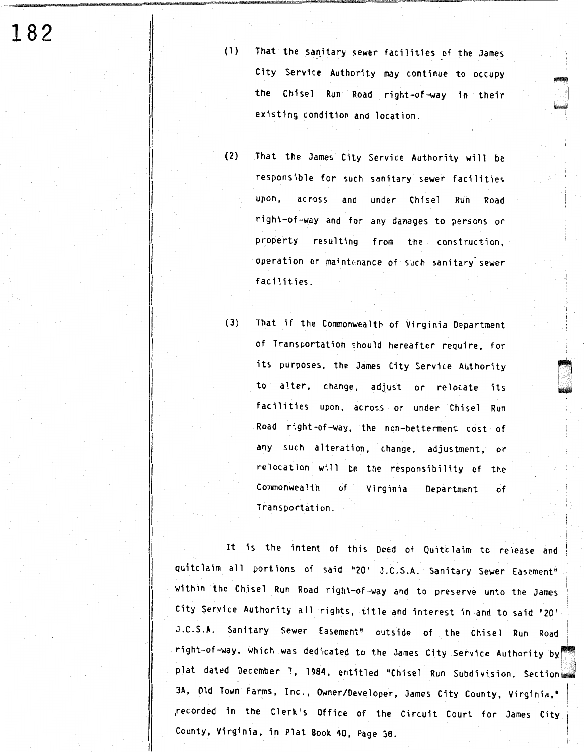**182** 

- (1) That the sanitary sewer facilities of the James City Service Authority may continue to occupy the Chisel Run Road right-of-way in their existing condition and location.
- (2) That the James City Service Authority wi 11 be responsible for such sanitary sewer facilities upon, across and under Chisel Run Road right-of-way and for any damages to persons or property resulting from the construction, operation or maintenance of such sanitary sewer facilities.
- (3) That if the Commonwealth of Virginia Department of Transportation should hereafter require, for its purposes, the James City Service Authority to alter, change, adjust or relocate its facilities upon, across or under Chisel Run Road right-of-way, the non-betterment cost of any such alteration, change, adjustment, or relocation will be the responsibility of the Commonwealth of Virginia Department of Transportation.

It is the intent of this Deed of Quitclaim to release and quitclaim all portions of said "20' J.C.S.A. Sanitary Sewer Easement" within the Chisel Run Road right-of-way and to preserve unto the James City Service Authority all rights, title and interest in and to said "20' J.C.S.A. Sanitary Sewer Easement" outside of the Chisel Run Road right-of-way, which was dedicated to the James City Service Authority by plat dated December 7, 1984, entitled "Chisel Run Subdivision, Section 3A, Old Town Farms, Inc., Owner/Developer, James City County, Virginia,• ,recorded in the Clerk's Office of the Circuit Court for James City County, Virginia, in Plat Book 40, Page 38.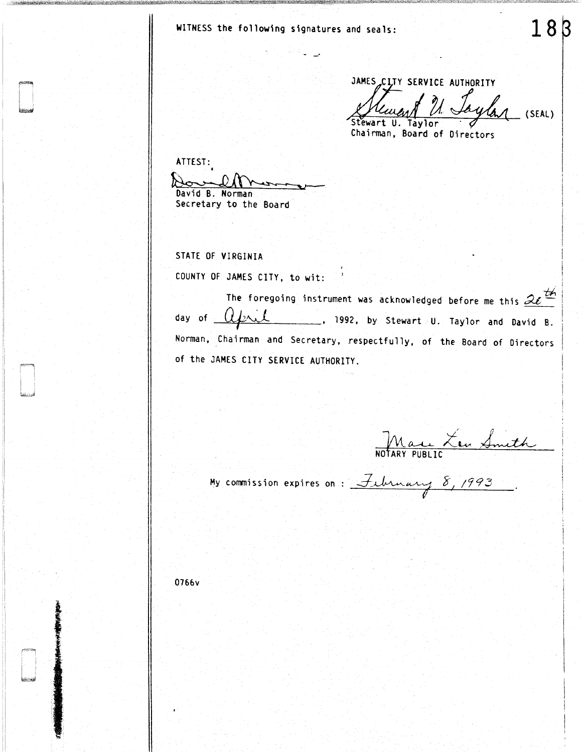WITNESS the following signatures and seals:

JAMES CITY SERVICE AUTHORITY 'Stewart U. Taylor AUTHORITY<br>*Laylan* (SEAL) (SEAL)

18

Chairman, Board of Directors

ATTEST: David B. Norman Secretary to the Board

STATE OF VIRGINIA

COUNTY OF JAMES CITY, to wit:

The foregoing instrument was acknowledged before me this  $2e^{\frac{t}{2}}$ day of  $Q$   $\mu$  , 1992, by Stewart U. Taylor and David B. Norman, Chairman and Secretary, respectfully, of the Board of Directors of the JAMES CITY SERVICE AUTHORITY.

Mau Len Smith

My commission expires on: February  $8,1993$ .

0766v

l **INTERNATIONAL**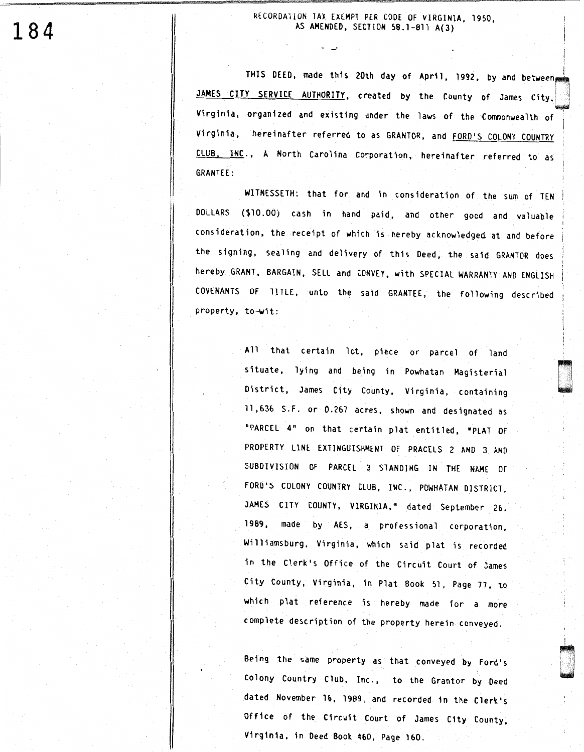RECORDA110N TAX EXEMPT PER CODE OF VIRGINIA, 1950, AS AMENDED, SECTION 58.1-811 A(3)

ت -

THIS DEED, made this 20th day of April, 1992, by and between JAMES CITY SERVICE AUTHORITY, created by the County of James City, Virginia, organized and existing under the laws of the Commonwealth of Virginia, hereinafter referred to as GRANTOR, and FORD'S COLONY COUNTRY CLUB, INC., A North Carolina Corporation, hereinafter referred to as GRANTEE:

WITNESSETH: that for and in consideration of the sum of TEN DOLLARS (\$10.00) cash in hand paid, and other good and valuable 1 consideration, the receipt of which is hereby acknowledged at and before the signing, sealing and delivery of this Deed, the said GRANTOR does hereby GRANT, BARGAIN, SELL and CONVEY, with SPECIAL WARRANTY AND ENGLISH COVENANTS OF TITLE, unto the said GRANTEE, the following described property, to-wit:

> All that certain lot, piece or parcel of land situate, lying and being in Powhatan Magisterial District, James City County, Virginia, containing 11,636 S.F. or 0.267 acres, shown and designated as "PARCEL 4" on that certain plat entitled, "PLAT OF PROPERTY LINE EXTINGUISHMENT OF PRACELS 2 AND 3 AND SUBDIVISION OF PARCEL 3 STANDING IN THE NAME OF FORD'S COLONY COUNTRY CLUB, INC., POWHATAN DISTRICT, JAMES CITY COUNTY, VIRGINIA,• dated September 26, 1989, made by AES, a professional corporation, Williamsburg, Virginia, which said plat is recorded in the Clerk's Office of the Circuit Court of James City County, Virginia, in Plat Book 51, Page 77, to which plat reference is hereby made for a more complete description of the property herein conveyed.

process<br>|-<br>| Headers

l

'

Being the same property as that conveyed by Ford's Colony Country Club, Inc., to the Grantor by Deed dated November 16, 1989, and recorded in the Clerk's Office of the C1rcu1t Court of James City County, V1rg1n1a, in Deed Book 460, Page 160.

**184**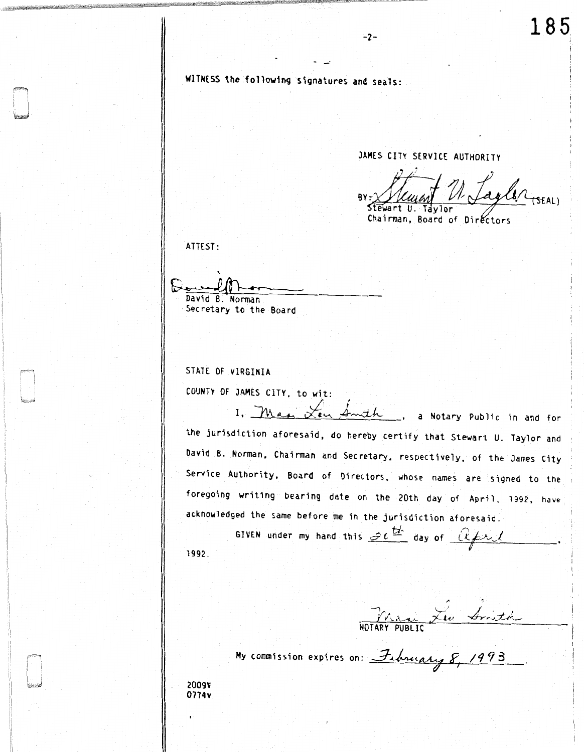WITNESS the following signatures and seals:

-·

JAMES CITY SERVICE AUTHORITY

-2-

Klemant U. Taylor (SEAL) Chairman, Board of Dir

ATTEST:

`<br>^ David B. Norman Secretary to the Board

STATE OF VIRGINIA

COUNTY OF JAMES CITY, to wit:

I. Max Len Smith, a Notary Public in and for the jurisdiction aforesaid, do hereby certify that Stewart U. Taylor and David B. Norman, Chairman and Secretary, respectively, of the James City Service Authority, Board of Directors, whose names are signed to the foregoing writing bearing date on the 20th day of April, 1992, have acknowledged the same before me in the jurisdiction aforesaid.

1992. GIVEN under my hand this  $\mathscr{D}\iota^{\underline{tr}}$  day of  $[\mathcal{R}\cancel{f}$ ril  $\mathbf{v}$ 

Marie Leu Smith

Hy commission expires on: February 8, 1993

2009V 0774v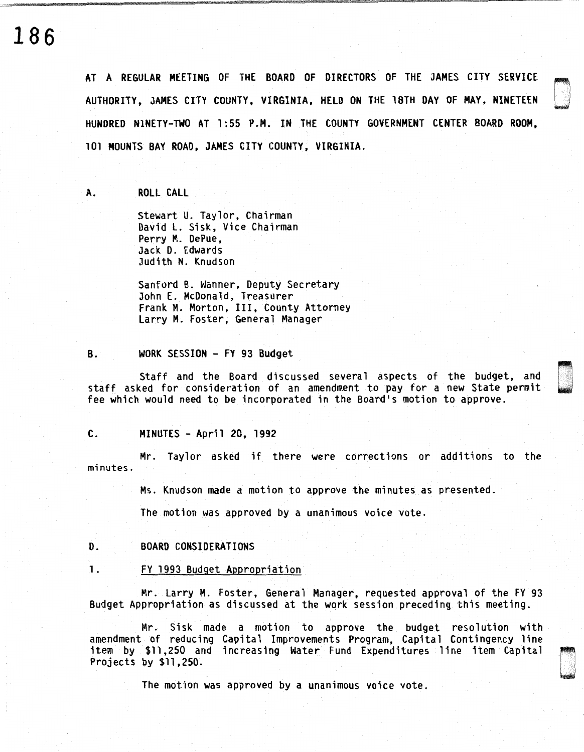# **186**

AT A REGULAR MEETING OF THE BOARD OF DIRECTORS OF THE JAMES CITY SERVICE AUTHORITY, JAMES CITY COUNTY, VIRGINIA, HELD ON THE lBTH DAY OF MAY, NINETEEN HUNDRED NINETY-TWO AT 1 :SS P.H. IN THE COUNTY GOVERNMENT CENTER BOARD ROOM, 101 MOUNTS BAY ROAD, JAMES CITY COUNTY, VIRGINIA.

A. ROLL CALL

Stewart U. Taylor, Chairman David L. Sisk, Vice Chairman Perry M. DePue, Jack D. Edwards Judith N. Knudson

Sanford B. Wanner, Deputy Secretary John E. McDonald, Treasurer Frank M. Morton, III, County Attorney Larry M. Foster, General Manager

### 8. WORK SESSION - FY 93 Budget

Staff and the Board discussed several aspects of the budget, and staff asked for consideration of an amendment to pay for a new State permit fee which would need to be incorporated in the Board's motion to approve.

 $\sim$ u

### c. MINUTES - April 20, 1992

Mr. Taylor asked if there were corrections or additions to the minutes.

Ms. Knudson made a motion to approve the minutes as presented.

The motion was approved by a unanimous voice vote.

D. BOARD CONSIDERATIONS

### 1. FY 1993 Budget Appropriation

Mr. Larry M. Foster, General Manager, requested approval of the FY 93 Budget Appropriation as discussed at the work session preceding this meeting.

Mr. Sisk made a motion to approve the budget resolution with amendment of reducing Capital Improvements Program, Capital Contingency line item by \$11,250 and increasing Water Fund Expenditures line item Capital Projects by \$11,250.

The motion was approved by a unanimous voice vote.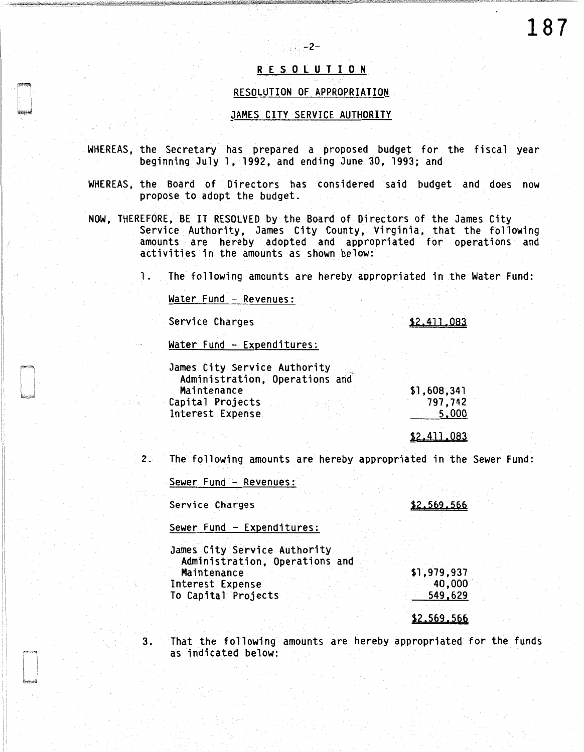## R E S 0 l U T I 0 N

-2-

### RESOLUTION OF APPROPRIATION

## JAMES CITY SERVICE AUTHORITY

- WHEREAS, the Secretary has prepared a proposed budget for the fiscal year beginning July 1, 1992, and ending June 30, 1993; and
- WHEREAS, the Board of Directors has considered said budget and does now propose to adopt the budget.
- NOW, THEREFORE, BE IT RESOLVED by the Board of Directors of the James City Service Authority, James City County, Virginia, that the following amounts are hereby adopted and appropriated for operations and activities in the amounts as shown below:

1. The following amounts are hereby appropriated in the Water Fund:

Water Fund - Revenues:

Service Charges

\$2.411.083

\$2.411.083

\$2.569.566

Water Fund - Expenditures:

| James City Service Authority   |             |
|--------------------------------|-------------|
| Administration, Operations and |             |
| Maintenance                    | \$1,608,341 |
| Capital Projects               | 797.742     |
| Interest Expense.              | 5.000       |
|                                |             |

2. The following amounts are hereby appropriated in the Sewer Fund:

Sewer Fund - Revenues:

Service Charges

Sewer Fund - Expenditures:

James City Service Authority Administration, Operations and Maintenance Interest Expense To Capital Projects \$1,979,937 40,000 549,629

\$2.569.566

3. That the following amounts are hereby appropriated for the funds as indicated below: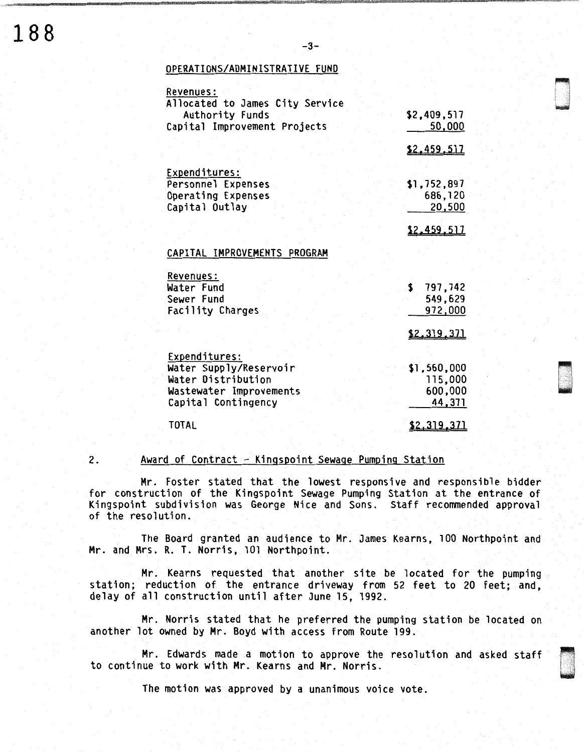## OPERATIONS/ADMINISTRATIVE FUND

| Revenues:                       |                    |
|---------------------------------|--------------------|
| Allocated to James City Service |                    |
| <b>Authority Funds</b>          | \$2,409,517        |
| Capital Improvement Projects    | 50,000             |
|                                 | \$2,459,517        |
| Expenditures:                   |                    |
| Personnel Expenses              | \$1,752,897        |
| Operating Expenses              | 686,120            |
| Capital Outlay                  | 20,500             |
|                                 |                    |
|                                 | \$2,459,517        |
| CAPITAL IMPROVEMENTS PROGRAM    |                    |
| <b>Revenues:</b>                |                    |
| Water Fund                      | 797,742<br>\$.     |
| Sewer Fund                      | 549,629            |
| Facility Charges                | 972,000            |
|                                 | <u>\$2,319,371</u> |
|                                 |                    |
| Expenditures:                   |                    |
| Water Supply/Reservoir          | \$1,560,000        |
| Water Distribution              | 115,000            |
| Wastewater Improvements         | 600,000            |
| Capital Contingency             | 44,371             |
| TOTAL                           | <u>\$2,319,371</u> |
|                                 |                    |

 $-3-$ 

### 2. Award of Contract - Kingspoint Sewage Pumping Station

Mr. Foster stated that the lowest responsive and responsible bidder for construction of the Kingspoint Sewage Pumping Station at the entrance of Kingspoint subdivision was George Nice and Sons. Staff recommended approval of the resolution.

The Board granted an audience to Mr. James Kearns, JOO Northpoint and Mr. and Mrs. R. T. Norris, 101 Northpoint.

Mr. Kearns requested that another site be located for the pumping station; reduction of the entrance driveway from 52 feet to 20 feet; and, delay of all construction until after June 15, 1992.

Mr. Norris stated that he preferred the pumping station be located on another lot owned by Mr. Boyd with access from Route 199.

Mr. Edwards made a motion to approve the resolution and asked staff to continue to work with Mr. Kearns and Mr. Norris. ~

The motion was approved by a unanimous voice vote.

de de la construction de la construction de la construction de la construction de la construction de la constr<br>De la construction de la construction de la construction de la construction de la construction de la construct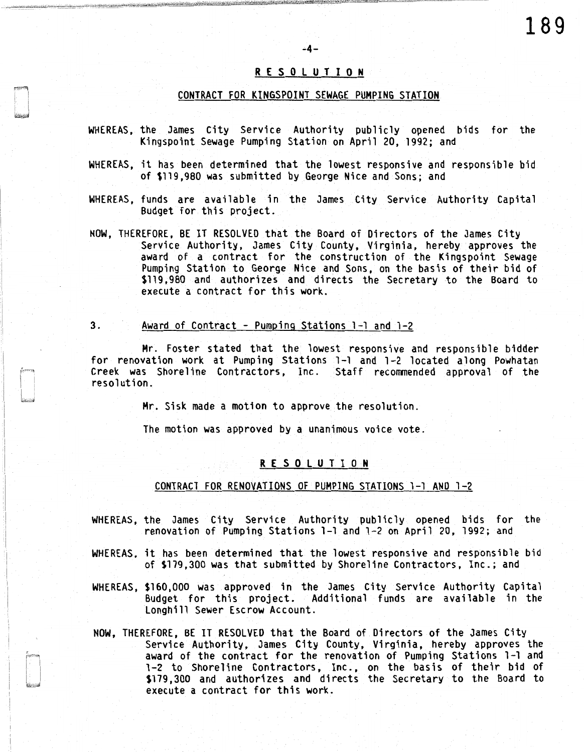## R E S 0 l U T I 0 N

 $-4-$ 

### CONTRACT FOR KINGSPOINT SEWAGE PUMPING STATION

- WHEREAS, the James City Service Authority publicly opened bids for the Kingspoint Sewage Pumping Station on April 20, 1992; and
- WHEREAS, it has been determined that the lowest responsive and responsible bid of \$119,980 was submitted by George Nice and Sons; and
- WHEREAS, funds are available in the James City Service Authority Capital Budget for this project.

NOW, THEREFORE, BE IT RESOLVED that the Board of Directors of the James City Service Authority, James City County, Virginia, hereby approves the award of a contract for the construction of the Kingspoint Sewage Pumping Station to George Nice and Sons, on the basis of their bid of \$119,980 and authorizes and directs the Secretary to the Board to execute a contract for this work.

## 3. Award of Contract - Pumping Stations 1-1 and 1-2

Mr. Foster stated that the lowest responsive and responsible bidder for renovation work at Pumping Stations 1-1 and 1-2 located along Powhatan Creek was Shoreline Contractors, Inc. Staff recommended approval of the resolution.

Mr. Sisk made a motion to approve the resolution.

The motion was approved by a unanimous voice vote.

## R E S 0 l U T I 0 N

## CONTRACT FOR RENOVATIONS OF PUMPING STATIONS 1-1 AND 1-2

- WHEREAS, the James City Service Authority publicly opened bids for the renovation of Pumping Stations 1-1 and 1-2 on April 20, 1992; and
- WHEREAS, it has been determined that the lowest responsive and responsible bid of \$179,300 was that submitted by Shoreline Contractors, Inc.; and
- WHEREAS, \$160,000 was approved in the James City Service Authority Capital Budget for this project. Additional funds are available in the Longhill Sewer Escrow Account.
- NOW, THEREFORE, BE IT RESOLVED that the Board of Directors of the James City Service Authority, James City County, Virginia, hereby approves the award of the contract for the renovation of Pumping Stations 1-1 and 1-2 to Shoreline Contractors, Inc., on the basis of their bid of \$179,300 and authorizes and directs the Secretary to the Board to execute a contract for this work.